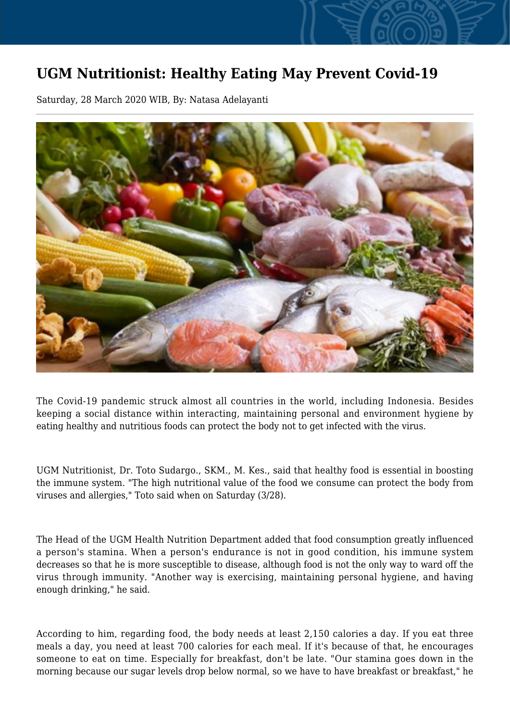## **UGM Nutritionist: Healthy Eating May Prevent Covid-19**

Saturday, 28 March 2020 WIB, By: Natasa Adelayanti



The Covid-19 pandemic struck almost all countries in the world, including Indonesia. Besides keeping a social distance within interacting, maintaining personal and environment hygiene by eating healthy and nutritious foods can protect the body not to get infected with the virus.

UGM Nutritionist, Dr. Toto Sudargo., SKM., M. Kes., said that healthy food is essential in boosting the immune system. "The high nutritional value of the food we consume can protect the body from viruses and allergies," Toto said when on Saturday (3/28).

The Head of the UGM Health Nutrition Department added that food consumption greatly influenced a person's stamina. When a person's endurance is not in good condition, his immune system decreases so that he is more susceptible to disease, although food is not the only way to ward off the virus through immunity. "Another way is exercising, maintaining personal hygiene, and having enough drinking," he said.

According to him, regarding food, the body needs at least 2,150 calories a day. If you eat three meals a day, you need at least 700 calories for each meal. If it's because of that, he encourages someone to eat on time. Especially for breakfast, don't be late. "Our stamina goes down in the morning because our sugar levels drop below normal, so we have to have breakfast or breakfast," he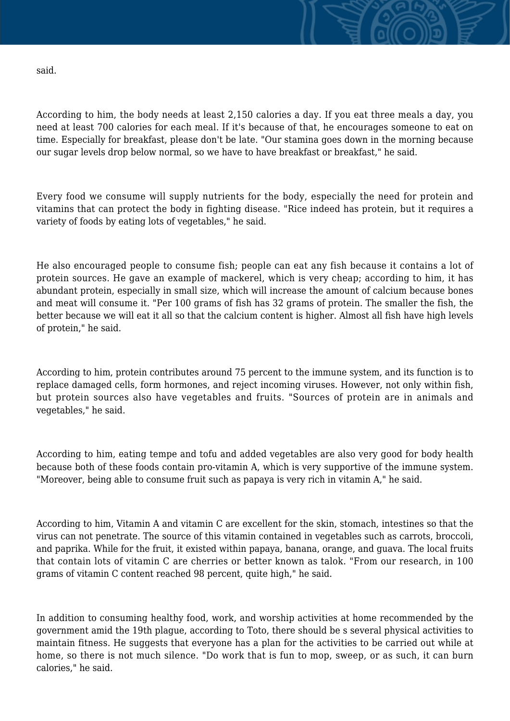said.

According to him, the body needs at least 2,150 calories a day. If you eat three meals a day, you need at least 700 calories for each meal. If it's because of that, he encourages someone to eat on time. Especially for breakfast, please don't be late. "Our stamina goes down in the morning because our sugar levels drop below normal, so we have to have breakfast or breakfast," he said.

Every food we consume will supply nutrients for the body, especially the need for protein and vitamins that can protect the body in fighting disease. "Rice indeed has protein, but it requires a variety of foods by eating lots of vegetables," he said.

He also encouraged people to consume fish; people can eat any fish because it contains a lot of protein sources. He gave an example of mackerel, which is very cheap; according to him, it has abundant protein, especially in small size, which will increase the amount of calcium because bones and meat will consume it. "Per 100 grams of fish has 32 grams of protein. The smaller the fish, the better because we will eat it all so that the calcium content is higher. Almost all fish have high levels of protein," he said.

According to him, protein contributes around 75 percent to the immune system, and its function is to replace damaged cells, form hormones, and reject incoming viruses. However, not only within fish, but protein sources also have vegetables and fruits. "Sources of protein are in animals and vegetables," he said.

According to him, eating tempe and tofu and added vegetables are also very good for body health because both of these foods contain pro-vitamin A, which is very supportive of the immune system. "Moreover, being able to consume fruit such as papaya is very rich in vitamin A," he said.

According to him, Vitamin A and vitamin C are excellent for the skin, stomach, intestines so that the virus can not penetrate. The source of this vitamin contained in vegetables such as carrots, broccoli, and paprika. While for the fruit, it existed within papaya, banana, orange, and guava. The local fruits that contain lots of vitamin C are cherries or better known as talok. "From our research, in 100 grams of vitamin C content reached 98 percent, quite high," he said.

In addition to consuming healthy food, work, and worship activities at home recommended by the government amid the 19th plague, according to Toto, there should be s several physical activities to maintain fitness. He suggests that everyone has a plan for the activities to be carried out while at home, so there is not much silence. "Do work that is fun to mop, sweep, or as such, it can burn calories," he said.